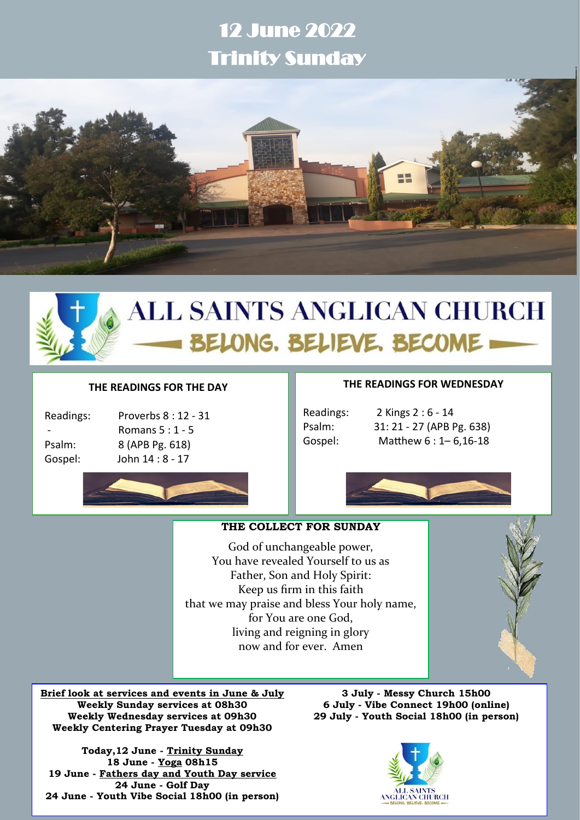# 12 June 2022 Trinity Sunday



# **ALL SAINTS ANGLICAN CHURCH** BELONG. BELIEVE. BECOME

#### **THE READINGS FOR THE DAY**

| Readings |
|----------|
|          |
| Psalm:   |
| Gosnal   |

Proverbs 8 : 12 - 31 - Romans 5 : 1 - 5 8 (APB Pg. 618) John 14 : 8 - 17



#### **THE READINGS FOR WEDNESDAY**

Readings: 2 Kings 2 : 6 - 14 Psalm: 31: 21 - 27 (APB Pg. 638) Gospel: Matthew 6 : 1– 6,16-18



## **THE COLLECT FOR SUNDAY**

God of unchangeable power, You have revealed Yourself to us as Father, Son and Holy Spirit: Keep us firm in this faith that we may praise and bless Your holy name, for You are one God, living and reigning in glory now and for ever. Amen

**Brief look at services and events in June & July Weekly Sunday services at 08h30 Weekly Wednesday services at 09h30 Weekly Centering Prayer Tuesday at 09h30**

**Today,12 June - Trinity Sunday 18 June - Yoga 08h15 19 June - Fathers day and Youth Day service 24 June - Golf Day 24 June - Youth Vibe Social 18h00 (in person)**

**3 July - Messy Church 15h00 6 July - Vibe Connect 19h00 (online) 29 July - Youth Social 18h00 (in person)**